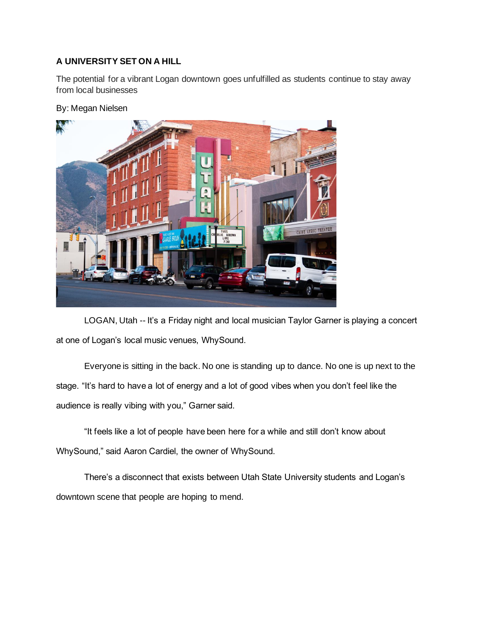## **A UNIVERSITY SET ON A HILL**

The potential for a vibrant Logan downtown goes unfulfilled as students continue to stay away from local businesses

## By: Megan Nielsen



LOGAN, Utah -- It's a Friday night and local musician Taylor Garner is playing a concert at one of Logan's local music venues, WhySound.

Everyone is sitting in the back. No one is standing up to dance. No one is up next to the stage. "It's hard to have a lot of energy and a lot of good vibes when you don't feel like the audience is really vibing with you," Garner said.

"It feels like a lot of people have been here for a while and still don't know about WhySound," said Aaron Cardiel, the owner of WhySound.

There's a disconnect that exists between Utah State University students and Logan's downtown scene that people are hoping to mend.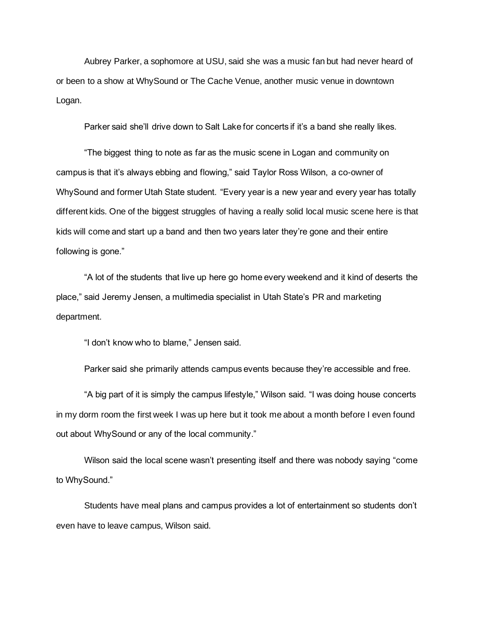Aubrey Parker, a sophomore at USU, said she was a music fan but had never heard of or been to a show at WhySound or The Cache Venue, another music venue in downtown Logan.

Parker said she'll drive down to Salt Lake for concerts if it's a band she really likes.

"The biggest thing to note as far as the music scene in Logan and community on campus is that it's always ebbing and flowing," said Taylor Ross Wilson, a co-owner of WhySound and former Utah State student. "Every year is a new year and every year has totally different kids. One of the biggest struggles of having a really solid local music scene here is that kids will come and start up a band and then two years later they're gone and their entire following is gone."

"A lot of the students that live up here go home every weekend and it kind of deserts the place," said Jeremy Jensen, a multimedia specialist in Utah State's PR and marketing department.

"I don't know who to blame," Jensen said.

Parker said she primarily attends campus events because they're accessible and free.

"A big part of it is simply the campus lifestyle," Wilson said. "I was doing house concerts in my dorm room the first week I was up here but it took me about a month before I even found out about WhySound or any of the local community."

Wilson said the local scene wasn't presenting itself and there was nobody saying "come to WhySound."

Students have meal plans and campus provides a lot of entertainment so students don't even have to leave campus, Wilson said.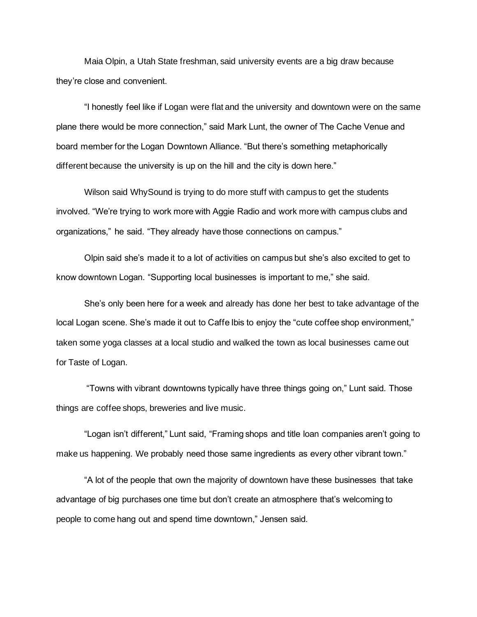Maia Olpin, a Utah State freshman, said university events are a big draw because they're close and convenient.

"I honestly feel like if Logan were flat and the university and downtown were on the same plane there would be more connection," said Mark Lunt, the owner of The Cache Venue and board member for the Logan Downtown Alliance. "But there's something metaphorically different because the university is up on the hill and the city is down here."

Wilson said WhySound is trying to do more stuff with campus to get the students involved. "We're trying to work more with Aggie Radio and work more with campus clubs and organizations," he said. "They already have those connections on campus."

Olpin said she's made it to a lot of activities on campus but she's also excited to get to know downtown Logan. "Supporting local businesses is important to me," she said.

She's only been here for a week and already has done her best to take advantage of the local Logan scene. She's made it out to Caffe Ibis to enjoy the "cute coffee shop environment," taken some yoga classes at a local studio and walked the town as local businesses came out for Taste of Logan.

"Towns with vibrant downtowns typically have three things going on," Lunt said. Those things are coffee shops, breweries and live music.

"Logan isn't different," Lunt said, "Framing shops and title loan companies aren't going to make us happening. We probably need those same ingredients as every other vibrant town."

"A lot of the people that own the majority of downtown have these businesses that take advantage of big purchases one time but don't create an atmosphere that's welcoming to people to come hang out and spend time downtown," Jensen said.